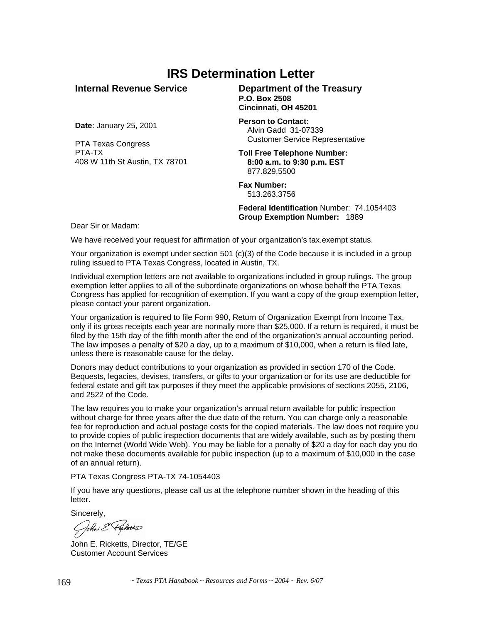## **IRS Determination Letter**

**Internal Revenue Service** 

**Department of the Treasury P.O. Box 2508 Cincinnati, OH 45201** 

**Date**: January 25, 2001

PTA Texas Congress PTA-TX 408 W 11th St Austin, TX 78701 **Person to Contact:**  Alvin Gadd 31-07339 Customer Service Representative

**Toll Free Telephone Number: 8:00 a.m. to 9:30 p.m. EST**  877.829.5500

**Fax Number:** 513.263.3756

**Federal Identification** Number: 74.1054403 **Group Exemption Number:** 1889

Dear Sir or Madam:

We have received your request for affirmation of your organization's tax.exempt status.

Your organization is exempt under section 501 (c)(3) of the Code because it is included in a group ruling issued to PTA Texas Congress, located in Austin, TX.

Individual exemption letters are not available to organizations included in group rulings. The group exemption letter applies to all of the subordinate organizations on whose behalf the PTA Texas Congress has applied for recognition of exemption. If you want a copy of the group exemption letter, please contact your parent organization.

Your organization is required to file Form 990, Return of Organization Exempt from Income Tax, only if its gross receipts each year are normally more than \$25,000. If a return is required, it must be filed by the 15th day of the fifth month after the end of the organization's annual accounting period. The law imposes a penalty of \$20 a day, up to a maximum of \$10,000, when a return is filed late, unless there is reasonable cause for the delay.

Donors may deduct contributions to your organization as provided in section 170 of the Code. Bequests, legacies, devises, transfers, or gifts to your organization or for its use are deductible for federal estate and gift tax purposes if they meet the applicable provisions of sections 2055, 2106, and 2522 of the Code.

The law requires you to make your organization's annual return available for public inspection without charge for three years after the due date of the return. You can charge only a reasonable fee for reproduction and actual postage costs for the copied materials. The law does not require you to provide copies of public inspection documents that are widely available, such as by posting them on the Internet (World Wide Web). You may be liable for a penalty of \$20 a day for each day you do not make these documents available for public inspection (up to a maximum of \$10,000 in the case of an annual return).

PTA Texas Congress PTA-TX 74-1054403

If you have any questions, please call us at the telephone number shown in the heading of this letter.

Sincerely,

Cohn & Ficketts

John E. Ricketts, Director, TE/GE Customer Account Services